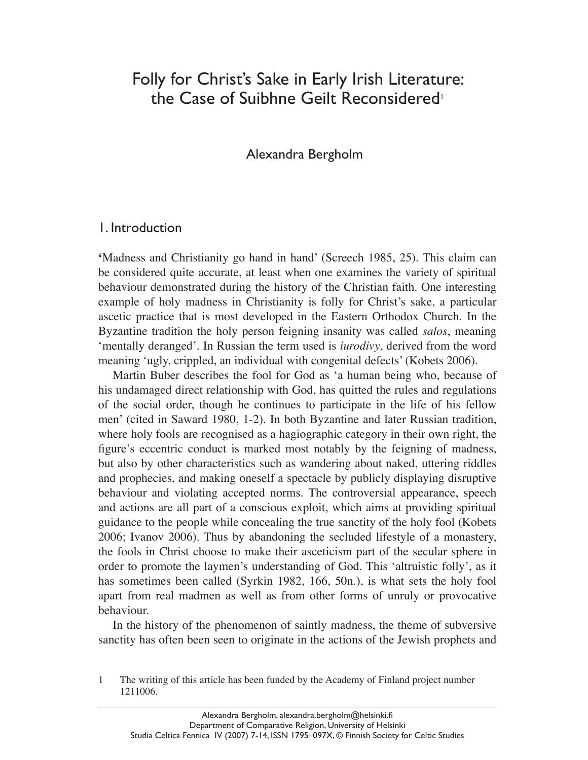# Folly for Christ's Sake in Early Irish Literature: the Case of Suibhne Geilt Reconsidered

Alexandra Bergholm

### 1. Introduction

**'**Madness and Christianity go hand in hand' (Screech 1985, 25). This claim can be considered quite accurate, at least when one examines the variety of spiritual behaviour demonstrated during the history of the Christian faith. One interesting example of holy madness in Christianity is folly for Christ's sake, a particular ascetic practice that is most developed in the Eastern Orthodox Church. In the Byzantine tradition the holy person feigning insanity was called *salos*, meaning 'mentally deranged'. In Russian the term used is *iurodivy*, derived from the word meaning 'ugly, crippled, an individual with congenital defects' (Kobets 2006).

Martin Buber describes the fool for God as 'a human being who, because of his undamaged direct relationship with God, has quitted the rules and regulations of the social order, though he continues to participate in the life of his fellow men' (cited in Saward 1980, 1-2). In both Byzantine and later Russian tradition, where holy fools are recognised as a hagiographic category in their own right, the figure's eccentric conduct is marked most notably by the feigning of madness, but also by other characteristics such as wandering about naked, uttering riddles and prophecies, and making oneself a spectacle by publicly displaying disruptive behaviour and violating accepted norms. The controversial appearance, speech and actions are all part of a conscious exploit, which aims at providing spiritual guidance to the people while concealing the true sanctity of the holy fool (Kobets 2006; Ivanov 2006). Thus by abandoning the secluded lifestyle of a monastery, the fools in Christ choose to make their asceticism part of the secular sphere in order to promote the laymen's understanding of God. This 'altruistic folly', as it has sometimes been called (Syrkin 1982, 166, 50n.), is what sets the holy fool apart from real madmen as well as from other forms of unruly or provocative behaviour.

In the history of the phenomenon of saintly madness, the theme of subversive sanctity has often been seen to originate in the actions of the Jewish prophets and

<sup>1</sup> The writing of this article has been funded by the Academy of Finland project number 1211006.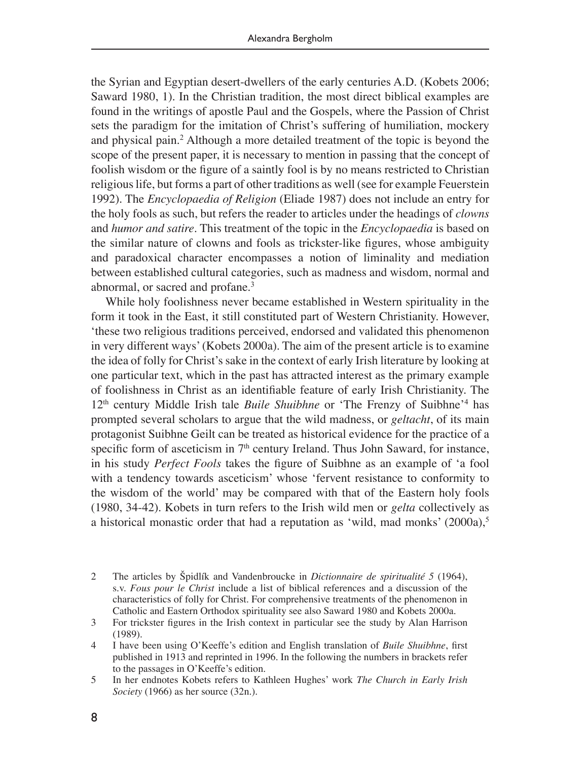the Syrian and Egyptian desert-dwellers of the early centuries A.D. (Kobets 2006; Saward 1980, 1). In the Christian tradition, the most direct biblical examples are found in the writings of apostle Paul and the Gospels, where the Passion of Christ sets the paradigm for the imitation of Christ's suffering of humiliation, mockery and physical pain.<sup>2</sup> Although a more detailed treatment of the topic is beyond the scope of the present paper, it is necessary to mention in passing that the concept of foolish wisdom or the figure of a saintly fool is by no means restricted to Christian religious life, but forms a part of other traditions as well (see for example Feuerstein 1992). The *Encyclopaedia of Religion* (Eliade 1987) does not include an entry for the holy fools as such, but refers the reader to articles under the headings of *clowns*  and *humor and satire*. This treatment of the topic in the *Encyclopaedia* is based on the similar nature of clowns and fools as trickster-like figures, whose ambiguity and paradoxical character encompasses a notion of liminality and mediation between established cultural categories, such as madness and wisdom, normal and abnormal, or sacred and profane.

While holy foolishness never became established in Western spirituality in the form it took in the East, it still constituted part of Western Christianity. However, 'these two religious traditions perceived, endorsed and validated this phenomenon in very different ways' (Kobets 2000a). The aim of the present article is to examine the idea of folly for Christ's sake in the context of early Irish literature by looking at one particular text, which in the past has attracted interest as the primary example of foolishness in Christ as an identifiable feature of early Irish Christianity. The 12<sup>th</sup> century Middle Irish tale *Buile Shuibhne* or 'The Frenzy of Suibhne'<sup>4</sup> has prompted several scholars to argue that the wild madness, or *geltacht*, of its main protagonist Suibhne Geilt can be treated as historical evidence for the practice of a specific form of asceticism in 7<sup>th</sup> century Ireland. Thus John Saward, for instance, in his study *Perfect Fools* takes the figure of Suibhne as an example of 'a fool with a tendency towards asceticism' whose 'fervent resistance to conformity to the wisdom of the world' may be compared with that of the Eastern holy fools (1980, 34-42). Kobets in turn refers to the Irish wild men or *gelta* collectively as a historical monastic order that had a reputation as 'wild, mad monks' (2000a),

- 2 The articles by Špidlík and Vandenbroucke in *Dictionnaire de spiritualité 5* (1964), s.v. *Fous pour le Christ* include a list of biblical references and a discussion of the characteristics of folly for Christ. For comprehensive treatments of the phenomenon in Catholic and Eastern Orthodox spirituality see also Saward 1980 and Kobets 2000a.
- $3<sup>1</sup>$ For trickster figures in the Irish context in particular see the study by Alan Harrison (1989).
- I have been using O'Keeffe's edition and English translation of *Buile Shuibhne*, first  $\overline{4}$ published in 1913 and reprinted in 1996. In the following the numbers in brackets refer to the passages in O'Keeffe's edition.
- 5 In her endnotes Kobets refers to Kathleen Hughes' work *The Church in Early Irish Society* (1966) as her source (32n.).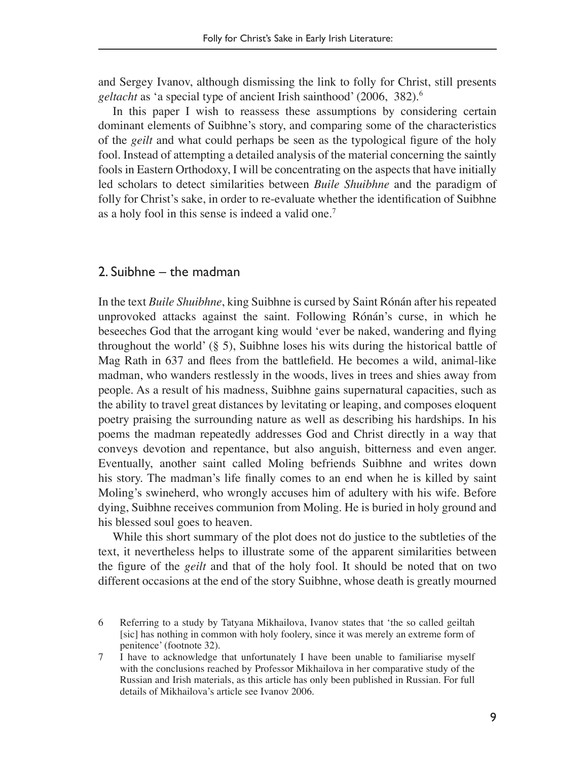and Sergey Ivanov, although dismissing the link to folly for Christ, still presents *geltacht* as 'a special type of ancient Irish sainthood' (2006, 382).

In this paper I wish to reassess these assumptions by considering certain dominant elements of Suibhne's story, and comparing some of the characteristics of the *geilt* and what could perhaps be seen as the typological figure of the holy fool. Instead of attempting a detailed analysis of the material concerning the saintly fools in Eastern Orthodoxy, I will be concentrating on the aspects that have initially led scholars to detect similarities between *Buile Shuibhne* and the paradigm of folly for Christ's sake, in order to re-evaluate whether the identification of Suibhne as a holy fool in this sense is indeed a valid one.

# 2. Suibhne – the madman

In the text *Buile Shuibhne*, king Suibhne is cursed by Saint Rónán after his repeated unprovoked attacks against the saint. Following Rónán's curse, in which he beseeches God that the arrogant king would 'ever be naked, wandering and flying throughout the world' (§ 5), Suibhne loses his wits during the historical battle of Mag Rath in 637 and flees from the battlefield. He becomes a wild, animal-like madman, who wanders restlessly in the woods, lives in trees and shies away from people. As a result of his madness, Suibhne gains supernatural capacities, such as the ability to travel great distances by levitating or leaping, and composes eloquent poetry praising the surrounding nature as well as describing his hardships. In his poems the madman repeatedly addresses God and Christ directly in a way that conveys devotion and repentance, but also anguish, bitterness and even anger. Eventually, another saint called Moling befriends Suibhne and writes down his story. The madman's life finally comes to an end when he is killed by saint Moling's swineherd, who wrongly accuses him of adultery with his wife. Before dying, Suibhne receives communion from Moling. He is buried in holy ground and his blessed soul goes to heaven.

While this short summary of the plot does not do justice to the subtleties of the text, it nevertheless helps to illustrate some of the apparent similarities between the figure of the *geilt* and that of the holy fool. It should be noted that on two different occasions at the end of the story Suibhne, whose death is greatly mourned

<sup>6</sup> Referring to a study by Tatyana Mikhailova, Ivanov states that 'the so called geiltah [sic] has nothing in common with holy foolery, since it was merely an extreme form of penitence' (footnote 32).

<sup>7</sup> I have to acknowledge that unfortunately I have been unable to familiarise myself with the conclusions reached by Professor Mikhailova in her comparative study of the Russian and Irish materials, as this article has only been published in Russian. For full details of Mikhailova's article see Ivanov 2006.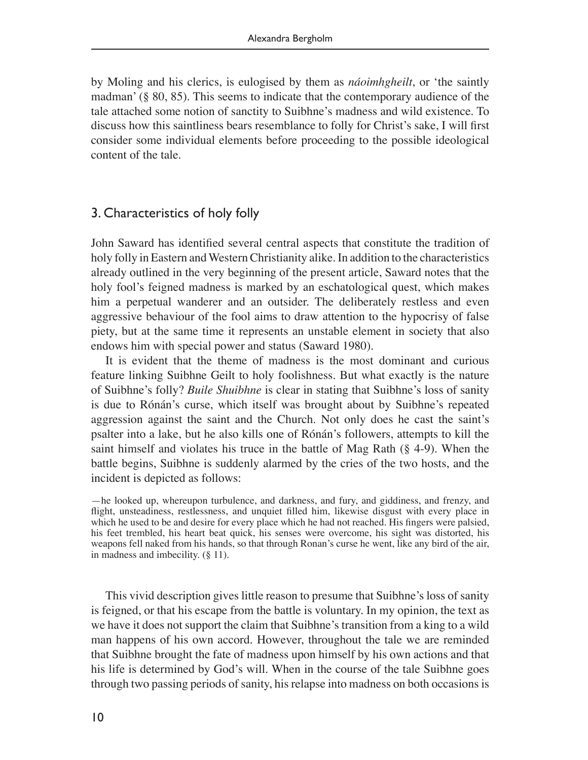by Moling and his clerics, is eulogised by them as *náoimhgheilt*, or 'the saintly madman' (§ 80, 85). This seems to indicate that the contemporary audience of the tale attached some notion of sanctity to Suibhne's madness and wild existence. To discuss how this saintliness bears resemblance to folly for Christ's sake, I will first consider some individual elements before proceeding to the possible ideological content of the tale.

# 3. Characteristics of holy folly

John Saward has identified several central aspects that constitute the tradition of holy folly in Eastern and Western Christianity alike. In addition to the characteristics already outlined in the very beginning of the present article, Saward notes that the holy fool's feigned madness is marked by an eschatological quest, which makes him a perpetual wanderer and an outsider. The deliberately restless and even aggressive behaviour of the fool aims to draw attention to the hypocrisy of false piety, but at the same time it represents an unstable element in society that also endows him with special power and status (Saward 1980).

It is evident that the theme of madness is the most dominant and curious feature linking Suibhne Geilt to holy foolishness. But what exactly is the nature of Suibhne's folly? *Buile Shuibhne* is clear in stating that Suibhne's loss of sanity is due to Rónán's curse, which itself was brought about by Suibhne's repeated aggression against the saint and the Church. Not only does he cast the saint's psalter into a lake, but he also kills one of Rónán's followers, attempts to kill the saint himself and violates his truce in the battle of Mag Rath (§ 4-9). When the battle begins, Suibhne is suddenly alarmed by the cries of the two hosts, and the incident is depicted as follows:

—he looked up, whereupon turbulence, and darkness, and fury, and giddiness, and frenzy, and flight, unsteadiness, restlessness, and unquiet filled him, likewise disgust with every place in which he used to be and desire for every place which he had not reached. His fingers were palsied, his feet trembled, his heart beat quick, his senses were overcome, his sight was distorted, his weapons fell naked from his hands, so that through Ronan's curse he went, like any bird of the air, in madness and imbecility. (§ 11).

This vivid description gives little reason to presume that Suibhne's loss of sanity is feigned, or that his escape from the battle is voluntary. In my opinion, the text as we have it does not support the claim that Suibhne's transition from a king to a wild man happens of his own accord. However, throughout the tale we are reminded that Suibhne brought the fate of madness upon himself by his own actions and that his life is determined by God's will. When in the course of the tale Suibhne goes through two passing periods of sanity, his relapse into madness on both occasions is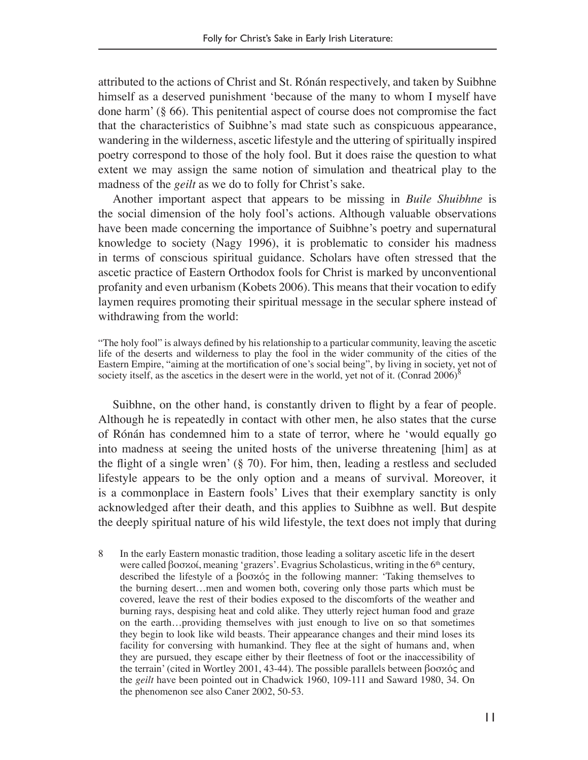attributed to the actions of Christ and St. Rónán respectively, and taken by Suibhne himself as a deserved punishment 'because of the many to whom I myself have done harm' (§ 66). This penitential aspect of course does not compromise the fact that the characteristics of Suibhne's mad state such as conspicuous appearance, wandering in the wilderness, ascetic lifestyle and the uttering of spiritually inspired poetry correspond to those of the holy fool. But it does raise the question to what extent we may assign the same notion of simulation and theatrical play to the madness of the *geilt* as we do to folly for Christ's sake.

Another important aspect that appears to be missing in *Buile Shuibhne* is the social dimension of the holy fool's actions. Although valuable observations have been made concerning the importance of Suibhne's poetry and supernatural knowledge to society (Nagy 1996), it is problematic to consider his madness in terms of conscious spiritual guidance. Scholars have often stressed that the ascetic practice of Eastern Orthodox fools for Christ is marked by unconventional profanity and even urbanism (Kobets 2006). This means that their vocation to edify laymen requires promoting their spiritual message in the secular sphere instead of withdrawing from the world:

"The holy fool" is always defined by his relationship to a particular community, leaving the ascetic life of the deserts and wilderness to play the fool in the wider community of the cities of the Eastern Empire, "aiming at the mortification of one's social being", by living in society, yet not of society itself, as the ascetics in the desert were in the world, yet not of it. (Conrad 2006)<sup>8</sup>

Suibhne, on the other hand, is constantly driven to flight by a fear of people. Although he is repeatedly in contact with other men, he also states that the curse of Rónán has condemned him to a state of terror, where he 'would equally go into madness at seeing the united hosts of the universe threatening [him] as at the flight of a single wren'  $(\S$  70). For him, then, leading a restless and secluded lifestyle appears to be the only option and a means of survival. Moreover, it is a commonplace in Eastern fools' Lives that their exemplary sanctity is only acknowledged after their death, and this applies to Suibhne as well. But despite the deeply spiritual nature of his wild lifestyle, the text does not imply that during

8 In the early Eastern monastic tradition, those leading a solitary ascetic life in the desert were called βοσκοί, meaning 'grazers'. Evagrius Scholasticus, writing in the 6<sup>th</sup> century, described the lifestyle of a βοσκός in the following manner: 'Taking themselves to the burning desert…men and women both, covering only those parts which must be covered, leave the rest of their bodies exposed to the discomforts of the weather and burning rays, despising heat and cold alike. They utterly reject human food and graze on the earth…providing themselves with just enough to live on so that sometimes they begin to look like wild beasts. Their appearance changes and their mind loses its facility for conversing with humankind. They flee at the sight of humans and, when they are pursued, they escape either by their fleetness of foot or the inaccessibility of the terrain' (cited in Wortley 2001, 43-44). The possible parallels between βοσκός and the *geilt* have been pointed out in Chadwick 1960, 109-111 and Saward 1980, 34. On the phenomenon see also Caner 2002, 50-53.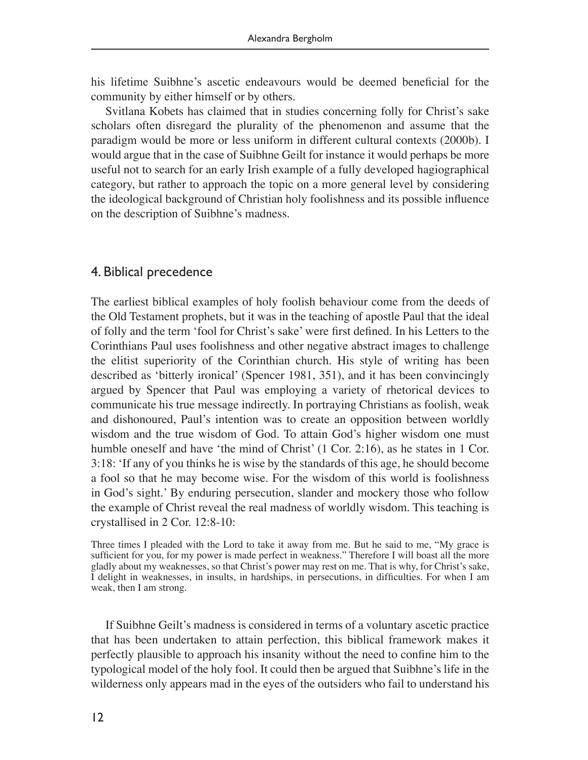his lifetime Suibhne's ascetic endeavours would be deemed beneficial for the community by either himself or by others.

Svitlana Kobets has claimed that in studies concerning folly for Christ's sake scholars often disregard the plurality of the phenomenon and assume that the paradigm would be more or less uniform in different cultural contexts (2000b). I would argue that in the case of Suibhne Geilt for instance it would perhaps be more useful not to search for an early Irish example of a fully developed hagiographical category, but rather to approach the topic on a more general level by considering the ideological background of Christian holy foolishness and its possible influence on the description of Suibhne's madness.

# 4. Biblical precedence

The earliest biblical examples of holy foolish behaviour come from the deeds of the Old Testament prophets, but it was in the teaching of apostle Paul that the ideal of folly and the term 'fool for Christ's sake' were first defined. In his Letters to the Corinthians Paul uses foolishness and other negative abstract images to challenge the elitist superiority of the Corinthian church. His style of writing has been described as 'bitterly ironical' (Spencer 1981, 351), and it has been convincingly argued by Spencer that Paul was employing a variety of rhetorical devices to communicate his true message indirectly. In portraying Christians as foolish, weak and dishonoured, Paul's intention was to create an opposition between worldly wisdom and the true wisdom of God. To attain God's higher wisdom one must humble oneself and have 'the mind of Christ' (1 Cor. 2:16), as he states in 1 Cor. 3:18: 'If any of you thinks he is wise by the standards of this age, he should become a fool so that he may become wise. For the wisdom of this world is foolishness in God's sight.' By enduring persecution, slander and mockery those who follow the example of Christ reveal the real madness of worldly wisdom. This teaching is crystallised in 2 Cor. 12:8-10:

Three times I pleaded with the Lord to take it away from me. But he said to me, "My grace is sufficient for you, for my power is made perfect in weakness." Therefore I will boast all the more gladly about my weaknesses, so that Christ's power may rest on me. That is why, for Christ's sake, I delight in weaknesses, in insults, in hardships, in persecutions, in difficulties. For when I am weak, then I am strong.

If Suibhne Geilt's madness is considered in terms of a voluntary ascetic practice that has been undertaken to attain perfection, this biblical framework makes it perfectly plausible to approach his insanity without the need to confine him to the typological model of the holy fool. It could then be argued that Suibhne's life in the wilderness only appears mad in the eyes of the outsiders who fail to understand his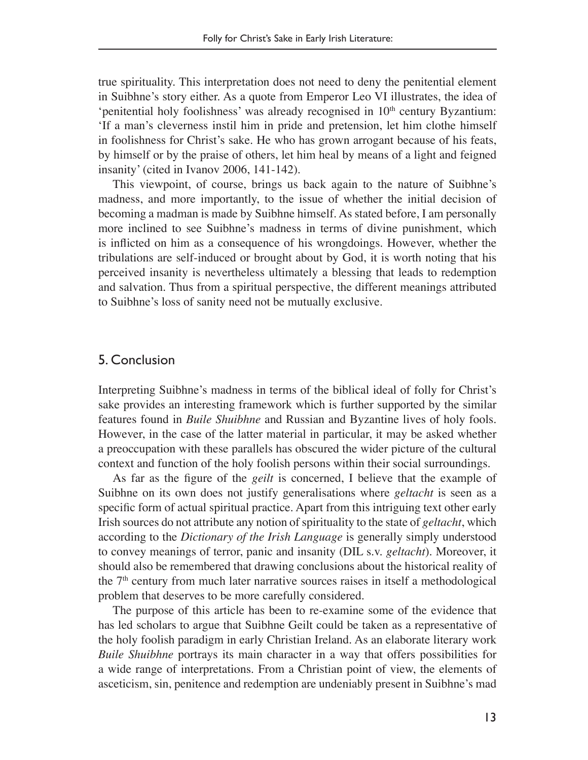true spirituality. This interpretation does not need to deny the penitential element in Suibhne's story either. As a quote from Emperor Leo VI illustrates, the idea of 'penitential holy foolishness' was already recognised in 10<sup>th</sup> century Byzantium: 'If a man's cleverness instil him in pride and pretension, let him clothe himself in foolishness for Christ's sake. He who has grown arrogant because of his feats, by himself or by the praise of others, let him heal by means of a light and feigned insanity' (cited in Ivanov 2006, 141-142).

This viewpoint, of course, brings us back again to the nature of Suibhne's madness, and more importantly, to the issue of whether the initial decision of becoming a madman is made by Suibhne himself. As stated before, I am personally more inclined to see Suibhne's madness in terms of divine punishment, which is inflicted on him as a consequence of his wrongdoings. However, whether the tribulations are self-induced or brought about by God, it is worth noting that his perceived insanity is nevertheless ultimately a blessing that leads to redemption and salvation. Thus from a spiritual perspective, the different meanings attributed to Suibhne's loss of sanity need not be mutually exclusive.

### 5. Conclusion

Interpreting Suibhne's madness in terms of the biblical ideal of folly for Christ's sake provides an interesting framework which is further supported by the similar features found in *Buile Shuibhne* and Russian and Byzantine lives of holy fools. However, in the case of the latter material in particular, it may be asked whether a preoccupation with these parallels has obscured the wider picture of the cultural context and function of the holy foolish persons within their social surroundings.

As far as the figure of the *geilt* is concerned, I believe that the example of Suibhne on its own does not justify generalisations where *geltacht* is seen as a specific form of actual spiritual practice. Apart from this intriguing text other early Irish sources do not attribute any notion of spirituality to the state of *geltacht*, which according to the *Dictionary of the Irish Language* is generally simply understood to convey meanings of terror, panic and insanity (DIL s.v. *geltacht*). Moreover, it should also be remembered that drawing conclusions about the historical reality of the 7<sup>th</sup> century from much later narrative sources raises in itself a methodological problem that deserves to be more carefully considered.

The purpose of this article has been to re-examine some of the evidence that has led scholars to argue that Suibhne Geilt could be taken as a representative of the holy foolish paradigm in early Christian Ireland. As an elaborate literary work *Buile Shuibhne* portrays its main character in a way that offers possibilities for a wide range of interpretations. From a Christian point of view, the elements of asceticism, sin, penitence and redemption are undeniably present in Suibhne's mad